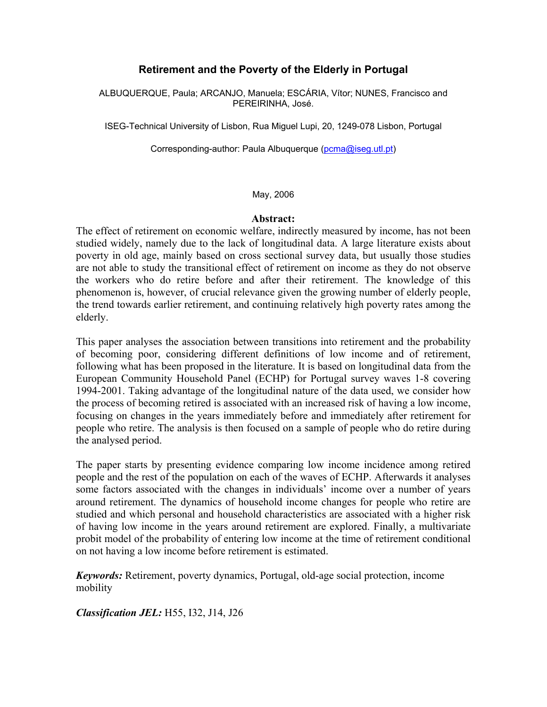# **Retirement and the Poverty of the Elderly in Portugal**

ALBUQUERQUE, Paula; ARCANJO, Manuela; ESCÁRIA, Vítor; NUNES, Francisco and PEREIRINHA, José.

ISEG-Technical University of Lisbon, Rua Miguel Lupi, 20, 1249-078 Lisbon, Portugal

Corresponding-author: Paula Albuquerque (pcma@iseg.utl.pt)

#### May, 2006

## **Abstract:**

The effect of retirement on economic welfare, indirectly measured by income, has not been studied widely, namely due to the lack of longitudinal data. A large literature exists about poverty in old age, mainly based on cross sectional survey data, but usually those studies are not able to study the transitional effect of retirement on income as they do not observe the workers who do retire before and after their retirement. The knowledge of this phenomenon is, however, of crucial relevance given the growing number of elderly people, the trend towards earlier retirement, and continuing relatively high poverty rates among the elderly.

This paper analyses the association between transitions into retirement and the probability of becoming poor, considering different definitions of low income and of retirement, following what has been proposed in the literature. It is based on longitudinal data from the European Community Household Panel (ECHP) for Portugal survey waves 1-8 covering 1994-2001. Taking advantage of the longitudinal nature of the data used, we consider how the process of becoming retired is associated with an increased risk of having a low income, focusing on changes in the years immediately before and immediately after retirement for people who retire. The analysis is then focused on a sample of people who do retire during the analysed period.

The paper starts by presenting evidence comparing low income incidence among retired people and the rest of the population on each of the waves of ECHP. Afterwards it analyses some factors associated with the changes in individuals' income over a number of years around retirement. The dynamics of household income changes for people who retire are studied and which personal and household characteristics are associated with a higher risk of having low income in the years around retirement are explored. Finally, a multivariate probit model of the probability of entering low income at the time of retirement conditional on not having a low income before retirement is estimated.

*Keywords:* Retirement, poverty dynamics, Portugal, old-age social protection, income mobility

*Classification JEL:* H55, I32, J14, J26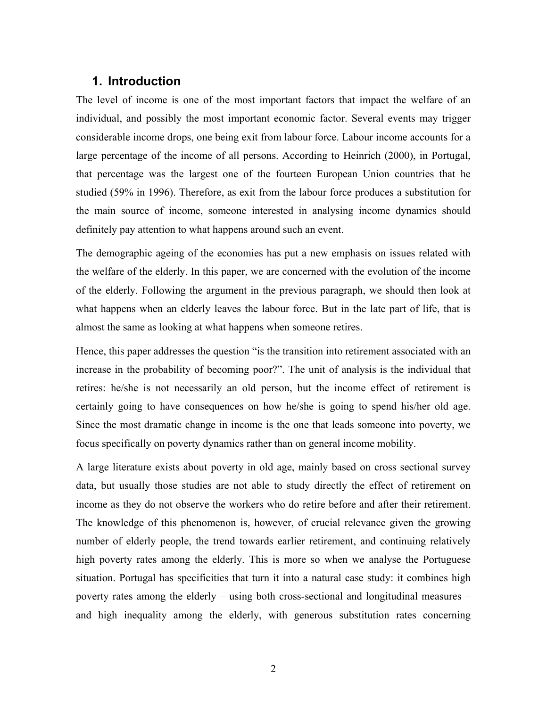## **1. Introduction**

The level of income is one of the most important factors that impact the welfare of an individual, and possibly the most important economic factor. Several events may trigger considerable income drops, one being exit from labour force. Labour income accounts for a large percentage of the income of all persons. According to Heinrich (2000), in Portugal, that percentage was the largest one of the fourteen European Union countries that he studied (59% in 1996). Therefore, as exit from the labour force produces a substitution for the main source of income, someone interested in analysing income dynamics should definitely pay attention to what happens around such an event.

The demographic ageing of the economies has put a new emphasis on issues related with the welfare of the elderly. In this paper, we are concerned with the evolution of the income of the elderly. Following the argument in the previous paragraph, we should then look at what happens when an elderly leaves the labour force. But in the late part of life, that is almost the same as looking at what happens when someone retires.

Hence, this paper addresses the question "is the transition into retirement associated with an increase in the probability of becoming poor?". The unit of analysis is the individual that retires: he/she is not necessarily an old person, but the income effect of retirement is certainly going to have consequences on how he/she is going to spend his/her old age. Since the most dramatic change in income is the one that leads someone into poverty, we focus specifically on poverty dynamics rather than on general income mobility.

A large literature exists about poverty in old age, mainly based on cross sectional survey data, but usually those studies are not able to study directly the effect of retirement on income as they do not observe the workers who do retire before and after their retirement. The knowledge of this phenomenon is, however, of crucial relevance given the growing number of elderly people, the trend towards earlier retirement, and continuing relatively high poverty rates among the elderly. This is more so when we analyse the Portuguese situation. Portugal has specificities that turn it into a natural case study: it combines high poverty rates among the elderly – using both cross-sectional and longitudinal measures – and high inequality among the elderly, with generous substitution rates concerning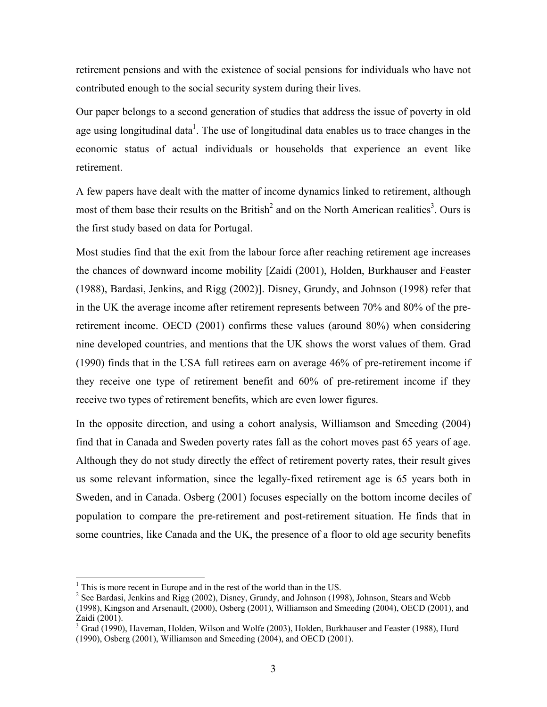retirement pensions and with the existence of social pensions for individuals who have not contributed enough to the social security system during their lives.

Our paper belongs to a second generation of studies that address the issue of poverty in old age using longitudinal data<sup>1</sup>. The use of longitudinal data enables us to trace changes in the economic status of actual individuals or households that experience an event like retirement.

A few papers have dealt with the matter of income dynamics linked to retirement, although most of them base their results on the British<sup>2</sup> and on the North American realities<sup>3</sup>. Ours is the first study based on data for Portugal.

Most studies find that the exit from the labour force after reaching retirement age increases the chances of downward income mobility [Zaidi (2001), Holden, Burkhauser and Feaster (1988), Bardasi, Jenkins, and Rigg (2002)]. Disney, Grundy, and Johnson (1998) refer that in the UK the average income after retirement represents between 70% and 80% of the preretirement income. OECD (2001) confirms these values (around 80%) when considering nine developed countries, and mentions that the UK shows the worst values of them. Grad (1990) finds that in the USA full retirees earn on average 46% of pre-retirement income if they receive one type of retirement benefit and 60% of pre-retirement income if they receive two types of retirement benefits, which are even lower figures.

In the opposite direction, and using a cohort analysis, Williamson and Smeeding (2004) find that in Canada and Sweden poverty rates fall as the cohort moves past 65 years of age. Although they do not study directly the effect of retirement poverty rates, their result gives us some relevant information, since the legally-fixed retirement age is 65 years both in Sweden, and in Canada. Osberg (2001) focuses especially on the bottom income deciles of population to compare the pre-retirement and post-retirement situation. He finds that in some countries, like Canada and the UK, the presence of a floor to old age security benefits

 $\frac{1}{2}$  This is more recent in Europe and in the rest of the world than in the US.

 $2^2$  See Bardasi, Jenkins and Rigg (2002), Disney, Grundy, and Johnson (1998), Johnson, Stears and Webb (1998), Kingson and Arsenault, (2000), Osberg (2001), Williamson and Smeeding (2004), OECD (2001), and Zaidi (2001).

<sup>&</sup>lt;sup>3</sup> Grad (1990), Haveman, Holden, Wilson and Wolfe (2003), Holden, Burkhauser and Feaster (1988), Hurd (1990), Osberg (2001), Williamson and Smeeding (2004), and OECD (2001).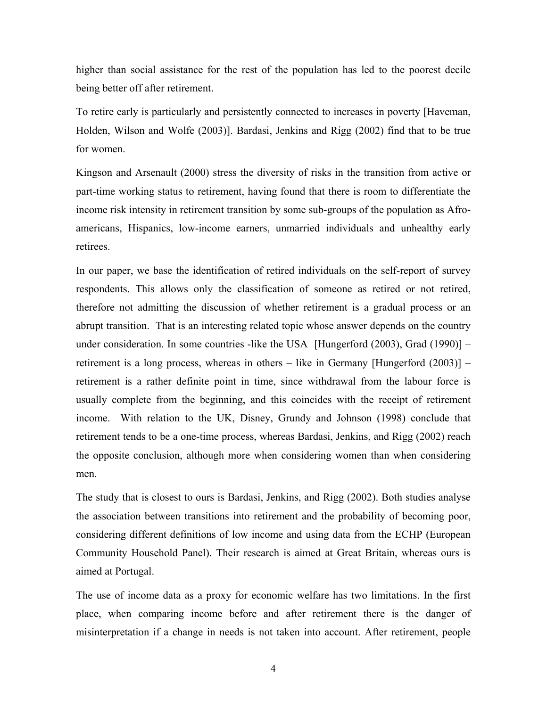higher than social assistance for the rest of the population has led to the poorest decile being better off after retirement.

To retire early is particularly and persistently connected to increases in poverty [Haveman, Holden, Wilson and Wolfe (2003)]. Bardasi, Jenkins and Rigg (2002) find that to be true for women.

Kingson and Arsenault (2000) stress the diversity of risks in the transition from active or part-time working status to retirement, having found that there is room to differentiate the income risk intensity in retirement transition by some sub-groups of the population as Afroamericans, Hispanics, low-income earners, unmarried individuals and unhealthy early retirees.

In our paper, we base the identification of retired individuals on the self-report of survey respondents. This allows only the classification of someone as retired or not retired, therefore not admitting the discussion of whether retirement is a gradual process or an abrupt transition. That is an interesting related topic whose answer depends on the country under consideration. In some countries -like the USA [Hungerford  $(2003)$ , Grad  $(1990)$ ] – retirement is a long process, whereas in others – like in Germany [Hungerford (2003)] – retirement is a rather definite point in time, since withdrawal from the labour force is usually complete from the beginning, and this coincides with the receipt of retirement income. With relation to the UK, Disney, Grundy and Johnson (1998) conclude that retirement tends to be a one-time process, whereas Bardasi, Jenkins, and Rigg (2002) reach the opposite conclusion, although more when considering women than when considering men.

The study that is closest to ours is Bardasi, Jenkins, and Rigg (2002). Both studies analyse the association between transitions into retirement and the probability of becoming poor, considering different definitions of low income and using data from the ECHP (European Community Household Panel). Their research is aimed at Great Britain, whereas ours is aimed at Portugal.

The use of income data as a proxy for economic welfare has two limitations. In the first place, when comparing income before and after retirement there is the danger of misinterpretation if a change in needs is not taken into account. After retirement, people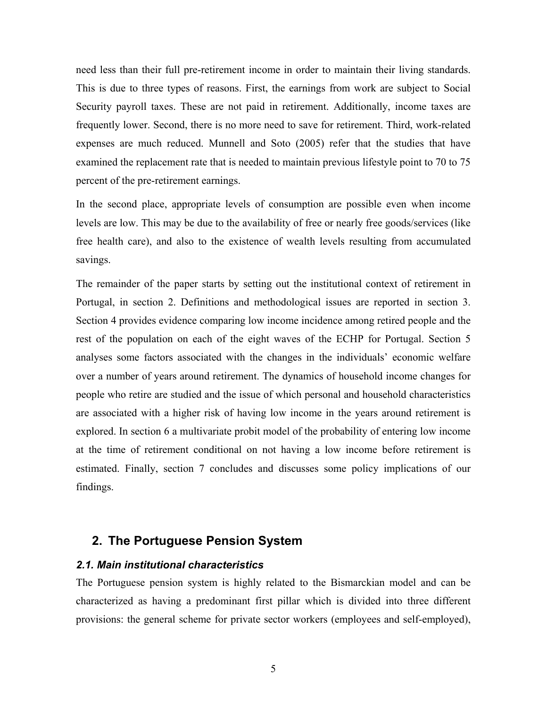need less than their full pre-retirement income in order to maintain their living standards. This is due to three types of reasons. First, the earnings from work are subject to Social Security payroll taxes. These are not paid in retirement. Additionally, income taxes are frequently lower. Second, there is no more need to save for retirement. Third, work-related expenses are much reduced. Munnell and Soto (2005) refer that the studies that have examined the replacement rate that is needed to maintain previous lifestyle point to 70 to 75 percent of the pre-retirement earnings.

In the second place, appropriate levels of consumption are possible even when income levels are low. This may be due to the availability of free or nearly free goods/services (like free health care), and also to the existence of wealth levels resulting from accumulated savings.

The remainder of the paper starts by setting out the institutional context of retirement in Portugal, in section 2. Definitions and methodological issues are reported in section 3. Section 4 provides evidence comparing low income incidence among retired people and the rest of the population on each of the eight waves of the ECHP for Portugal. Section 5 analyses some factors associated with the changes in the individuals' economic welfare over a number of years around retirement. The dynamics of household income changes for people who retire are studied and the issue of which personal and household characteristics are associated with a higher risk of having low income in the years around retirement is explored. In section 6 a multivariate probit model of the probability of entering low income at the time of retirement conditional on not having a low income before retirement is estimated. Finally, section 7 concludes and discusses some policy implications of our findings.

# **2. The Portuguese Pension System**

## *2.1. Main institutional characteristics*

The Portuguese pension system is highly related to the Bismarckian model and can be characterized as having a predominant first pillar which is divided into three different provisions: the general scheme for private sector workers (employees and self-employed),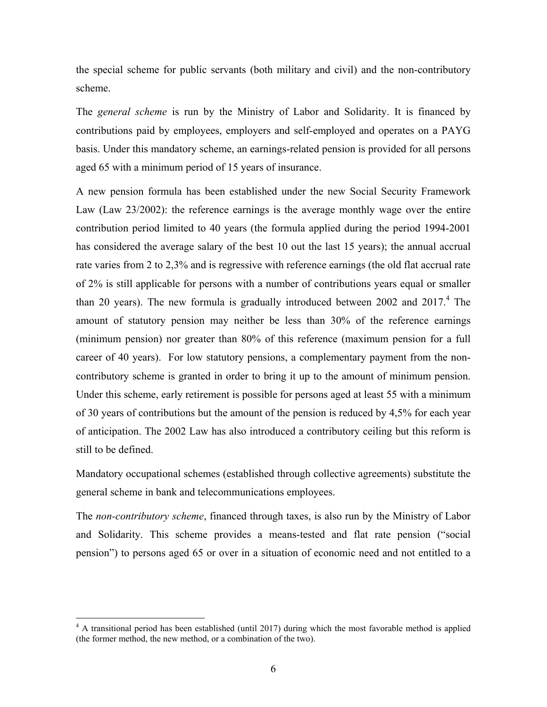the special scheme for public servants (both military and civil) and the non-contributory scheme.

The *general scheme* is run by the Ministry of Labor and Solidarity. It is financed by contributions paid by employees, employers and self-employed and operates on a PAYG basis. Under this mandatory scheme, an earnings-related pension is provided for all persons aged 65 with a minimum period of 15 years of insurance.

A new pension formula has been established under the new Social Security Framework Law (Law 23/2002): the reference earnings is the average monthly wage over the entire contribution period limited to 40 years (the formula applied during the period 1994-2001 has considered the average salary of the best 10 out the last 15 years); the annual accrual rate varies from 2 to 2,3% and is regressive with reference earnings (the old flat accrual rate of 2% is still applicable for persons with a number of contributions years equal or smaller than 20 years). The new formula is gradually introduced between 2002 and  $2017<sup>4</sup>$ . The amount of statutory pension may neither be less than 30% of the reference earnings (minimum pension) nor greater than 80% of this reference (maximum pension for a full career of 40 years). For low statutory pensions, a complementary payment from the noncontributory scheme is granted in order to bring it up to the amount of minimum pension. Under this scheme, early retirement is possible for persons aged at least 55 with a minimum of 30 years of contributions but the amount of the pension is reduced by 4,5% for each year of anticipation. The 2002 Law has also introduced a contributory ceiling but this reform is still to be defined.

Mandatory occupational schemes (established through collective agreements) substitute the general scheme in bank and telecommunications employees.

The *non-contributory scheme*, financed through taxes, is also run by the Ministry of Labor and Solidarity. This scheme provides a means-tested and flat rate pension ("social pension") to persons aged 65 or over in a situation of economic need and not entitled to a

1

<sup>&</sup>lt;sup>4</sup> A transitional period has been established (until 2017) during which the most favorable method is applied (the former method, the new method, or a combination of the two).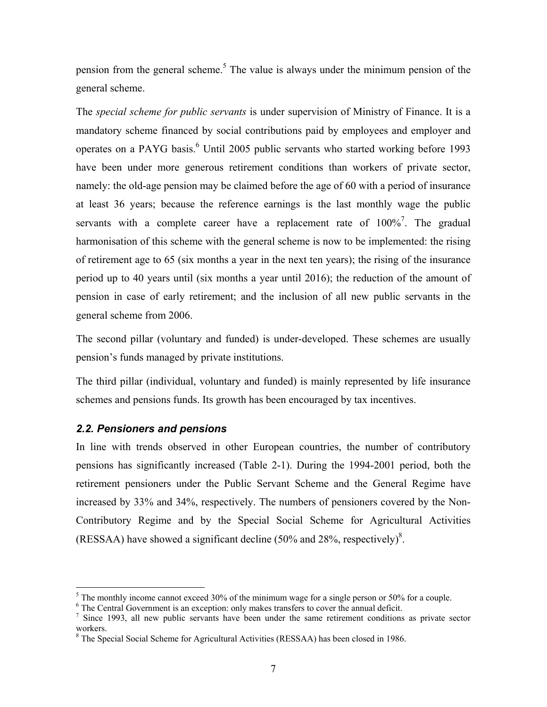pension from the general scheme.<sup>5</sup> The value is always under the minimum pension of the general scheme.

The *special scheme for public servants* is under supervision of Ministry of Finance. It is a mandatory scheme financed by social contributions paid by employees and employer and operates on a PAYG basis.<sup>6</sup> Until 2005 public servants who started working before 1993 have been under more generous retirement conditions than workers of private sector, namely: the old-age pension may be claimed before the age of 60 with a period of insurance at least 36 years; because the reference earnings is the last monthly wage the public servants with a complete career have a replacement rate of  $100\%$ <sup>7</sup>. The gradual harmonisation of this scheme with the general scheme is now to be implemented: the rising of retirement age to 65 (six months a year in the next ten years); the rising of the insurance period up to 40 years until (six months a year until 2016); the reduction of the amount of pension in case of early retirement; and the inclusion of all new public servants in the general scheme from 2006.

The second pillar (voluntary and funded) is under-developed. These schemes are usually pension's funds managed by private institutions.

The third pillar (individual, voluntary and funded) is mainly represented by life insurance schemes and pensions funds. Its growth has been encouraged by tax incentives.

# *2.2. Pensioners and pensions*

1

In line with trends observed in other European countries, the number of contributory pensions has significantly increased (Table 2-1). During the 1994-2001 period, both the retirement pensioners under the Public Servant Scheme and the General Regime have increased by 33% and 34%, respectively. The numbers of pensioners covered by the Non-Contributory Regime and by the Special Social Scheme for Agricultural Activities (RESSAA) have showed a significant decline  $(50\%$  and 28%, respectively)<sup>8</sup>.

The monthly income cannot exceed 30% of the minimum wage for a single person or 50% for a couple.<br> $\frac{6}{5}$  The Central Government is an execution; only makes transfers to equal the annual deficit.

 $6$  The Central Government is an exception: only makes transfers to cover the annual deficit.

 $\frac{1}{2}$  Since 1993, all new public servants have been under the same retirement conditions as private sector workers.

<sup>&</sup>lt;sup>8</sup> The Special Social Scheme for Agricultural Activities (RESSAA) has been closed in 1986.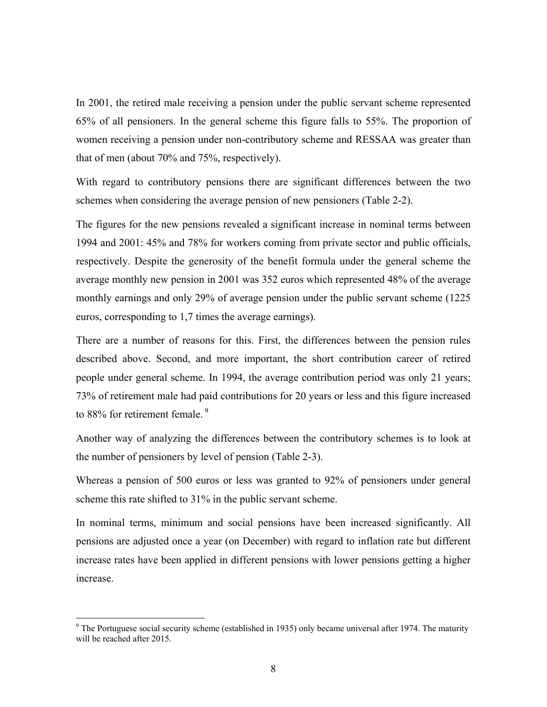In 2001, the retired male receiving a pension under the public servant scheme represented 65% of all pensioners. In the general scheme this figure falls to 55%. The proportion of women receiving a pension under non-contributory scheme and RESSAA was greater than that of men (about 70% and 75%, respectively).

With regard to contributory pensions there are significant differences between the two schemes when considering the average pension of new pensioners (Table 2-2).

The figures for the new pensions revealed a significant increase in nominal terms between 1994 and 2001: 45% and 78% for workers coming from private sector and public officials, respectively. Despite the generosity of the benefit formula under the general scheme the average monthly new pension in 2001 was 352 euros which represented 48% of the average monthly earnings and only 29% of average pension under the public servant scheme (1225 euros, corresponding to 1,7 times the average earnings).

There are a number of reasons for this. First, the differences between the pension rules described above. Second, and more important, the short contribution career of retired people under general scheme. In 1994, the average contribution period was only 21 years; 73% of retirement male had paid contributions for 20 years or less and this figure increased to 88% for retirement female.<sup>9</sup>

Another way of analyzing the differences between the contributory schemes is to look at the number of pensioners by level of pension (Table 2-3).

Whereas a pension of 500 euros or less was granted to 92% of pensioners under general scheme this rate shifted to 31% in the public servant scheme.

In nominal terms, minimum and social pensions have been increased significantly. All pensions are adjusted once a year (on December) with regard to inflation rate but different increase rates have been applied in different pensions with lower pensions getting a higher increase.

1

<sup>&</sup>lt;sup>9</sup> The Portuguese social security scheme (established in 1935) only became universal after 1974. The maturity will be reached after 2015.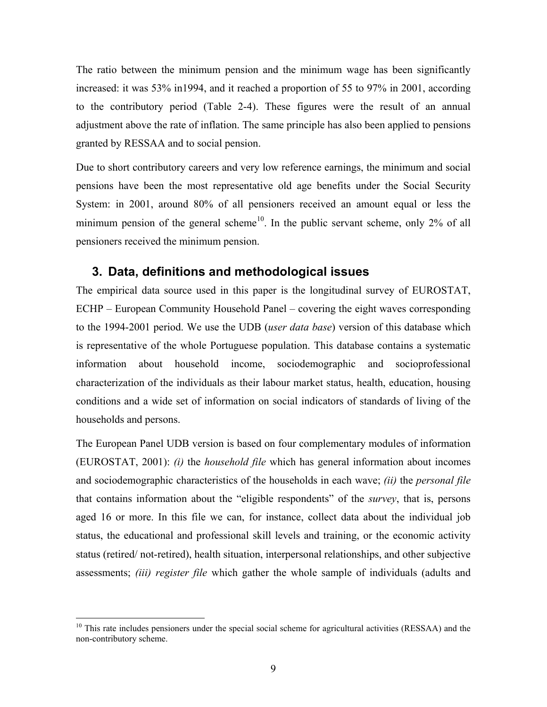The ratio between the minimum pension and the minimum wage has been significantly increased: it was 53% in1994, and it reached a proportion of 55 to 97% in 2001, according to the contributory period (Table 2-4). These figures were the result of an annual adjustment above the rate of inflation. The same principle has also been applied to pensions granted by RESSAA and to social pension.

Due to short contributory careers and very low reference earnings, the minimum and social pensions have been the most representative old age benefits under the Social Security System: in 2001, around 80% of all pensioners received an amount equal or less the minimum pension of the general scheme<sup>10</sup>. In the public servant scheme, only 2% of all pensioners received the minimum pension.

# **3. Data, definitions and methodological issues**

The empirical data source used in this paper is the longitudinal survey of EUROSTAT, ECHP – European Community Household Panel – covering the eight waves corresponding to the 1994-2001 period. We use the UDB (*user data base*) version of this database which is representative of the whole Portuguese population. This database contains a systematic information about household income, sociodemographic and socioprofessional characterization of the individuals as their labour market status, health, education, housing conditions and a wide set of information on social indicators of standards of living of the households and persons.

The European Panel UDB version is based on four complementary modules of information (EUROSTAT, 2001): *(i)* the *household file* which has general information about incomes and sociodemographic characteristics of the households in each wave; *(ii)* the *personal file* that contains information about the "eligible respondents" of the *survey*, that is, persons aged 16 or more. In this file we can, for instance, collect data about the individual job status, the educational and professional skill levels and training, or the economic activity status (retired/ not-retired), health situation, interpersonal relationships, and other subjective assessments; *(iii) register file* which gather the whole sample of individuals (adults and

1

<sup>&</sup>lt;sup>10</sup> This rate includes pensioners under the special social scheme for agricultural activities (RESSAA) and the non-contributory scheme.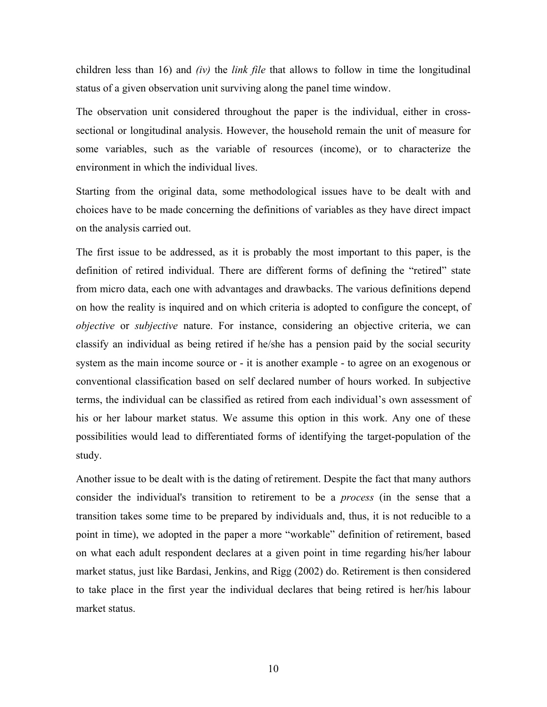children less than 16) and *(iv)* the *link file* that allows to follow in time the longitudinal status of a given observation unit surviving along the panel time window.

The observation unit considered throughout the paper is the individual, either in crosssectional or longitudinal analysis. However, the household remain the unit of measure for some variables, such as the variable of resources (income), or to characterize the environment in which the individual lives.

Starting from the original data, some methodological issues have to be dealt with and choices have to be made concerning the definitions of variables as they have direct impact on the analysis carried out.

The first issue to be addressed, as it is probably the most important to this paper, is the definition of retired individual. There are different forms of defining the "retired" state from micro data, each one with advantages and drawbacks. The various definitions depend on how the reality is inquired and on which criteria is adopted to configure the concept, of *objective* or *subjective* nature. For instance, considering an objective criteria, we can classify an individual as being retired if he/she has a pension paid by the social security system as the main income source or - it is another example - to agree on an exogenous or conventional classification based on self declared number of hours worked. In subjective terms, the individual can be classified as retired from each individual's own assessment of his or her labour market status. We assume this option in this work. Any one of these possibilities would lead to differentiated forms of identifying the target-population of the study.

Another issue to be dealt with is the dating of retirement. Despite the fact that many authors consider the individual's transition to retirement to be a *process* (in the sense that a transition takes some time to be prepared by individuals and, thus, it is not reducible to a point in time), we adopted in the paper a more "workable" definition of retirement, based on what each adult respondent declares at a given point in time regarding his/her labour market status, just like Bardasi, Jenkins, and Rigg (2002) do. Retirement is then considered to take place in the first year the individual declares that being retired is her/his labour market status.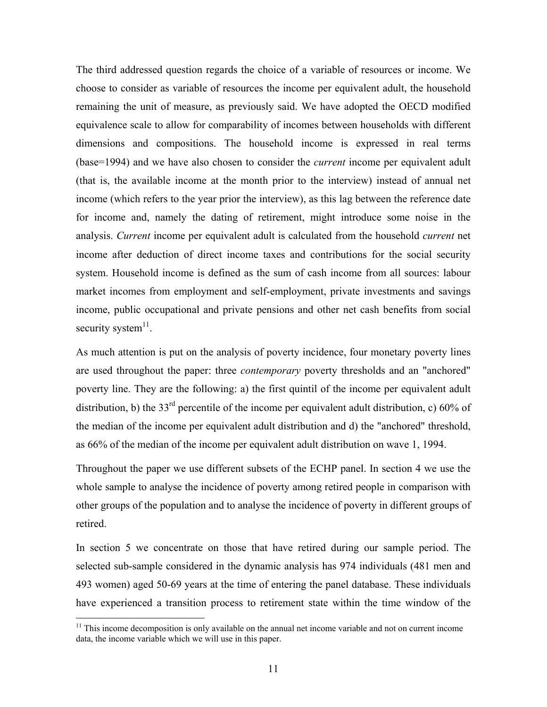The third addressed question regards the choice of a variable of resources or income. We choose to consider as variable of resources the income per equivalent adult, the household remaining the unit of measure, as previously said. We have adopted the OECD modified equivalence scale to allow for comparability of incomes between households with different dimensions and compositions. The household income is expressed in real terms (base=1994) and we have also chosen to consider the *current* income per equivalent adult (that is, the available income at the month prior to the interview) instead of annual net income (which refers to the year prior the interview), as this lag between the reference date for income and, namely the dating of retirement, might introduce some noise in the analysis. *Current* income per equivalent adult is calculated from the household *current* net income after deduction of direct income taxes and contributions for the social security system. Household income is defined as the sum of cash income from all sources: labour market incomes from employment and self-employment, private investments and savings income, public occupational and private pensions and other net cash benefits from social security system $11$ .

As much attention is put on the analysis of poverty incidence, four monetary poverty lines are used throughout the paper: three *contemporary* poverty thresholds and an "anchored" poverty line. They are the following: a) the first quintil of the income per equivalent adult distribution, b) the 33<sup>rd</sup> percentile of the income per equivalent adult distribution, c) 60% of the median of the income per equivalent adult distribution and d) the "anchored" threshold, as 66% of the median of the income per equivalent adult distribution on wave 1, 1994.

Throughout the paper we use different subsets of the ECHP panel. In section 4 we use the whole sample to analyse the incidence of poverty among retired people in comparison with other groups of the population and to analyse the incidence of poverty in different groups of retired.

In section 5 we concentrate on those that have retired during our sample period. The selected sub-sample considered in the dynamic analysis has 974 individuals (481 men and 493 women) aged 50-69 years at the time of entering the panel database. These individuals have experienced a transition process to retirement state within the time window of the

1

 $11$  This income decomposition is only available on the annual net income variable and not on current income data, the income variable which we will use in this paper.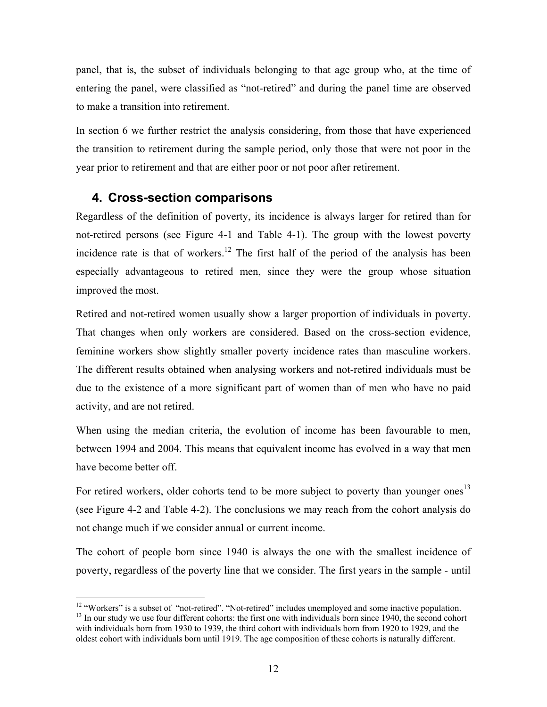panel, that is, the subset of individuals belonging to that age group who, at the time of entering the panel, were classified as "not-retired" and during the panel time are observed to make a transition into retirement.

In section 6 we further restrict the analysis considering, from those that have experienced the transition to retirement during the sample period, only those that were not poor in the year prior to retirement and that are either poor or not poor after retirement.

# **4. Cross-section comparisons**

1

Regardless of the definition of poverty, its incidence is always larger for retired than for not-retired persons (see Figure 4-1 and Table 4-1). The group with the lowest poverty incidence rate is that of workers.<sup>12</sup> The first half of the period of the analysis has been especially advantageous to retired men, since they were the group whose situation improved the most.

Retired and not-retired women usually show a larger proportion of individuals in poverty. That changes when only workers are considered. Based on the cross-section evidence, feminine workers show slightly smaller poverty incidence rates than masculine workers. The different results obtained when analysing workers and not-retired individuals must be due to the existence of a more significant part of women than of men who have no paid activity, and are not retired.

When using the median criteria, the evolution of income has been favourable to men, between 1994 and 2004. This means that equivalent income has evolved in a way that men have become better off.

For retired workers, older cohorts tend to be more subject to poverty than younger ones<sup>13</sup> (see Figure 4-2 and Table 4-2). The conclusions we may reach from the cohort analysis do not change much if we consider annual or current income.

The cohort of people born since 1940 is always the one with the smallest incidence of poverty, regardless of the poverty line that we consider. The first years in the sample - until

<sup>&</sup>lt;sup>12</sup> "Workers" is a subset of "not-retired". "Not-retired" includes unemployed and some inactive population. <sup>13</sup> In our study we use four different cohorts: the first one with individuals born since 1940, the second cohort with individuals born from 1930 to 1939, the third cohort with individuals born from 1920 to 1929, and the oldest cohort with individuals born until 1919. The age composition of these cohorts is naturally different.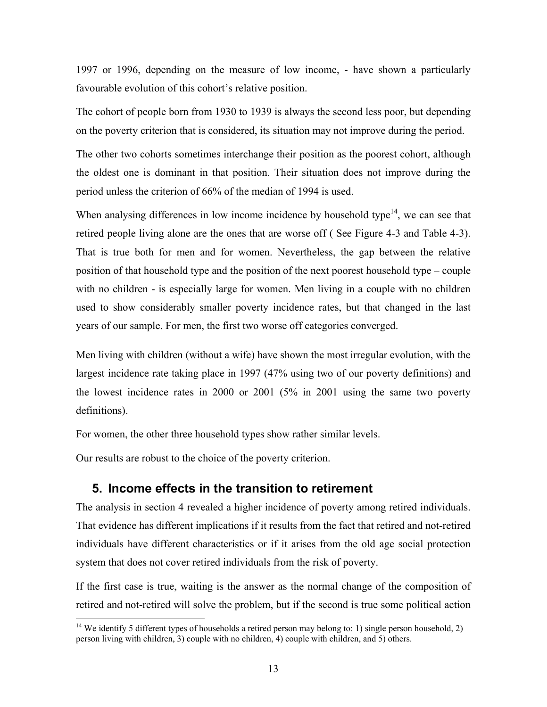1997 or 1996, depending on the measure of low income, - have shown a particularly favourable evolution of this cohort's relative position.

The cohort of people born from 1930 to 1939 is always the second less poor, but depending on the poverty criterion that is considered, its situation may not improve during the period.

The other two cohorts sometimes interchange their position as the poorest cohort, although the oldest one is dominant in that position. Their situation does not improve during the period unless the criterion of 66% of the median of 1994 is used.

When analysing differences in low income incidence by household type $14$ , we can see that retired people living alone are the ones that are worse off ( See Figure 4-3 and Table 4-3). That is true both for men and for women. Nevertheless, the gap between the relative position of that household type and the position of the next poorest household type – couple with no children - is especially large for women. Men living in a couple with no children used to show considerably smaller poverty incidence rates, but that changed in the last years of our sample. For men, the first two worse off categories converged.

Men living with children (without a wife) have shown the most irregular evolution, with the largest incidence rate taking place in 1997 (47% using two of our poverty definitions) and the lowest incidence rates in 2000 or 2001 (5% in 2001 using the same two poverty definitions).

For women, the other three household types show rather similar levels.

Our results are robust to the choice of the poverty criterion.

1

# **5. Income effects in the transition to retirement**

The analysis in section 4 revealed a higher incidence of poverty among retired individuals. That evidence has different implications if it results from the fact that retired and not-retired individuals have different characteristics or if it arises from the old age social protection system that does not cover retired individuals from the risk of poverty.

If the first case is true, waiting is the answer as the normal change of the composition of retired and not-retired will solve the problem, but if the second is true some political action

<sup>&</sup>lt;sup>14</sup> We identify 5 different types of households a retired person may belong to: 1) single person household, 2) person living with children, 3) couple with no children, 4) couple with children, and 5) others.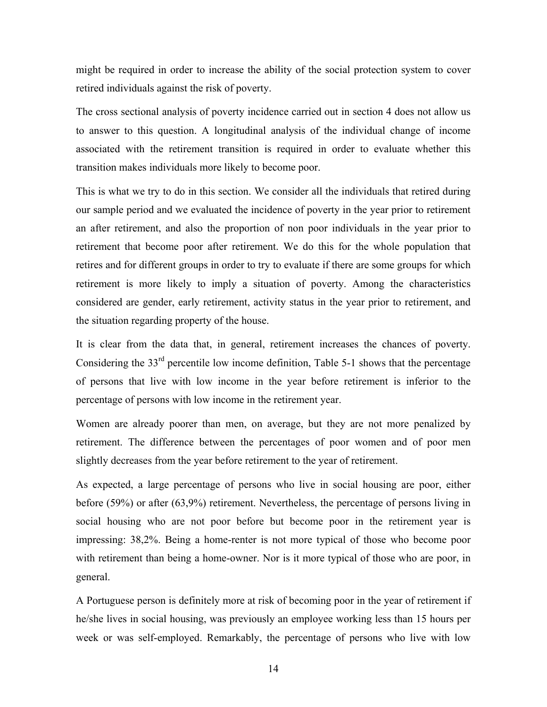might be required in order to increase the ability of the social protection system to cover retired individuals against the risk of poverty.

The cross sectional analysis of poverty incidence carried out in section 4 does not allow us to answer to this question. A longitudinal analysis of the individual change of income associated with the retirement transition is required in order to evaluate whether this transition makes individuals more likely to become poor.

This is what we try to do in this section. We consider all the individuals that retired during our sample period and we evaluated the incidence of poverty in the year prior to retirement an after retirement, and also the proportion of non poor individuals in the year prior to retirement that become poor after retirement. We do this for the whole population that retires and for different groups in order to try to evaluate if there are some groups for which retirement is more likely to imply a situation of poverty. Among the characteristics considered are gender, early retirement, activity status in the year prior to retirement, and the situation regarding property of the house.

It is clear from the data that, in general, retirement increases the chances of poverty. Considering the 33rd percentile low income definition, Table 5-1 shows that the percentage of persons that live with low income in the year before retirement is inferior to the percentage of persons with low income in the retirement year.

Women are already poorer than men, on average, but they are not more penalized by retirement. The difference between the percentages of poor women and of poor men slightly decreases from the year before retirement to the year of retirement.

As expected, a large percentage of persons who live in social housing are poor, either before (59%) or after (63,9%) retirement. Nevertheless, the percentage of persons living in social housing who are not poor before but become poor in the retirement year is impressing: 38,2%. Being a home-renter is not more typical of those who become poor with retirement than being a home-owner. Nor is it more typical of those who are poor, in general.

A Portuguese person is definitely more at risk of becoming poor in the year of retirement if he/she lives in social housing, was previously an employee working less than 15 hours per week or was self-employed. Remarkably, the percentage of persons who live with low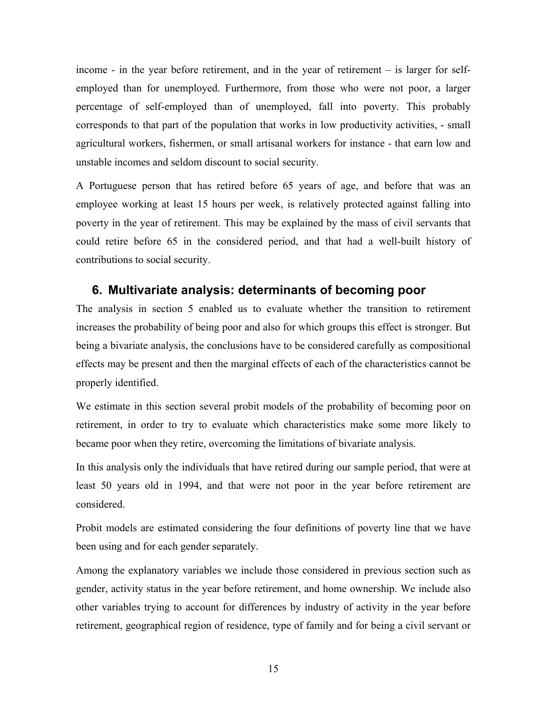income - in the year before retirement, and in the year of retirement – is larger for selfemployed than for unemployed. Furthermore, from those who were not poor, a larger percentage of self-employed than of unemployed, fall into poverty. This probably corresponds to that part of the population that works in low productivity activities, - small agricultural workers, fishermen, or small artisanal workers for instance - that earn low and unstable incomes and seldom discount to social security.

A Portuguese person that has retired before 65 years of age, and before that was an employee working at least 15 hours per week, is relatively protected against falling into poverty in the year of retirement. This may be explained by the mass of civil servants that could retire before 65 in the considered period, and that had a well-built history of contributions to social security.

# **6. Multivariate analysis: determinants of becoming poor**

The analysis in section 5 enabled us to evaluate whether the transition to retirement increases the probability of being poor and also for which groups this effect is stronger. But being a bivariate analysis, the conclusions have to be considered carefully as compositional effects may be present and then the marginal effects of each of the characteristics cannot be properly identified.

We estimate in this section several probit models of the probability of becoming poor on retirement, in order to try to evaluate which characteristics make some more likely to became poor when they retire, overcoming the limitations of bivariate analysis.

In this analysis only the individuals that have retired during our sample period, that were at least 50 years old in 1994, and that were not poor in the year before retirement are considered.

Probit models are estimated considering the four definitions of poverty line that we have been using and for each gender separately.

Among the explanatory variables we include those considered in previous section such as gender, activity status in the year before retirement, and home ownership. We include also other variables trying to account for differences by industry of activity in the year before retirement, geographical region of residence, type of family and for being a civil servant or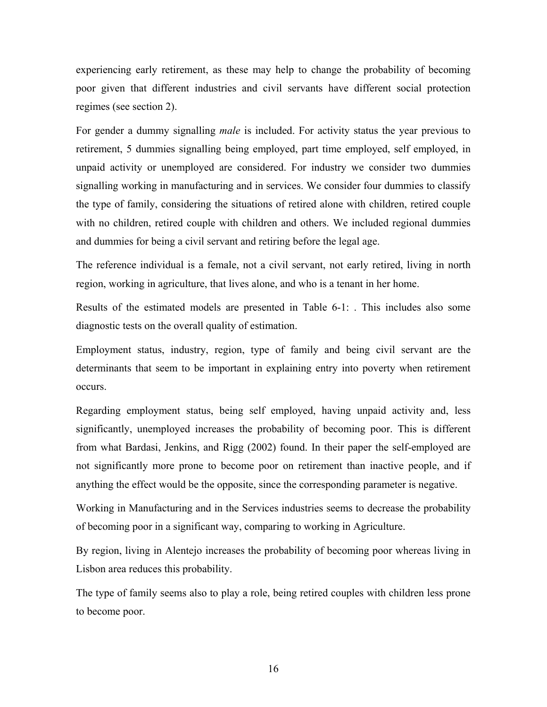experiencing early retirement, as these may help to change the probability of becoming poor given that different industries and civil servants have different social protection regimes (see section 2).

For gender a dummy signalling *male* is included. For activity status the year previous to retirement, 5 dummies signalling being employed, part time employed, self employed, in unpaid activity or unemployed are considered. For industry we consider two dummies signalling working in manufacturing and in services. We consider four dummies to classify the type of family, considering the situations of retired alone with children, retired couple with no children, retired couple with children and others. We included regional dummies and dummies for being a civil servant and retiring before the legal age.

The reference individual is a female, not a civil servant, not early retired, living in north region, working in agriculture, that lives alone, and who is a tenant in her home.

Results of the estimated models are presented in Table 6-1: . This includes also some diagnostic tests on the overall quality of estimation.

Employment status, industry, region, type of family and being civil servant are the determinants that seem to be important in explaining entry into poverty when retirement occurs.

Regarding employment status, being self employed, having unpaid activity and, less significantly, unemployed increases the probability of becoming poor. This is different from what Bardasi, Jenkins, and Rigg (2002) found. In their paper the self-employed are not significantly more prone to become poor on retirement than inactive people, and if anything the effect would be the opposite, since the corresponding parameter is negative.

Working in Manufacturing and in the Services industries seems to decrease the probability of becoming poor in a significant way, comparing to working in Agriculture.

By region, living in Alentejo increases the probability of becoming poor whereas living in Lisbon area reduces this probability.

The type of family seems also to play a role, being retired couples with children less prone to become poor.

16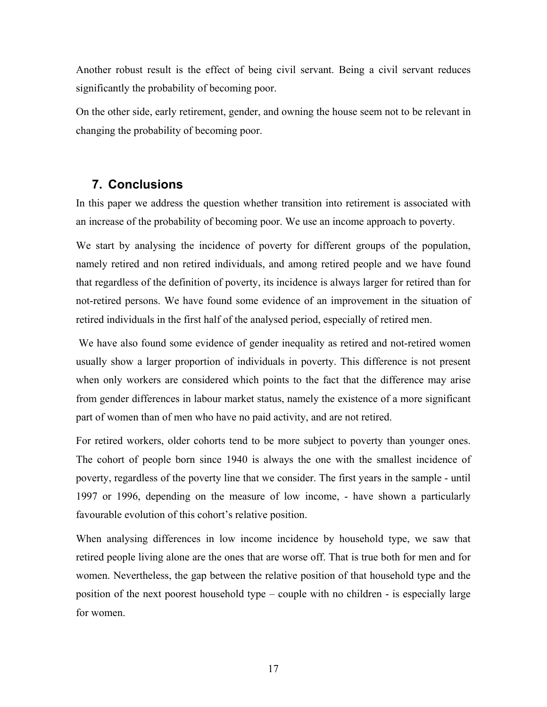Another robust result is the effect of being civil servant. Being a civil servant reduces significantly the probability of becoming poor.

On the other side, early retirement, gender, and owning the house seem not to be relevant in changing the probability of becoming poor.

# **7. Conclusions**

In this paper we address the question whether transition into retirement is associated with an increase of the probability of becoming poor. We use an income approach to poverty.

We start by analysing the incidence of poverty for different groups of the population, namely retired and non retired individuals, and among retired people and we have found that regardless of the definition of poverty, its incidence is always larger for retired than for not-retired persons. We have found some evidence of an improvement in the situation of retired individuals in the first half of the analysed period, especially of retired men.

 We have also found some evidence of gender inequality as retired and not-retired women usually show a larger proportion of individuals in poverty. This difference is not present when only workers are considered which points to the fact that the difference may arise from gender differences in labour market status, namely the existence of a more significant part of women than of men who have no paid activity, and are not retired.

For retired workers, older cohorts tend to be more subject to poverty than younger ones. The cohort of people born since 1940 is always the one with the smallest incidence of poverty, regardless of the poverty line that we consider. The first years in the sample - until 1997 or 1996, depending on the measure of low income, - have shown a particularly favourable evolution of this cohort's relative position.

When analysing differences in low income incidence by household type, we saw that retired people living alone are the ones that are worse off. That is true both for men and for women. Nevertheless, the gap between the relative position of that household type and the position of the next poorest household type – couple with no children - is especially large for women.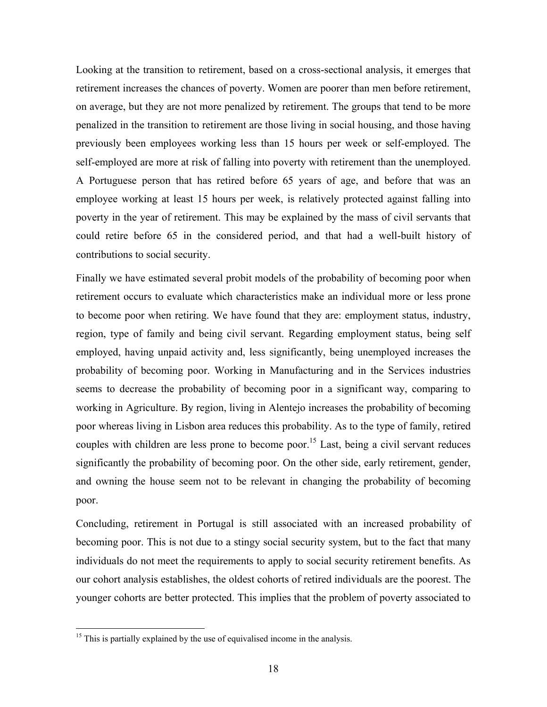Looking at the transition to retirement, based on a cross-sectional analysis, it emerges that retirement increases the chances of poverty. Women are poorer than men before retirement, on average, but they are not more penalized by retirement. The groups that tend to be more penalized in the transition to retirement are those living in social housing, and those having previously been employees working less than 15 hours per week or self-employed. The self-employed are more at risk of falling into poverty with retirement than the unemployed. A Portuguese person that has retired before 65 years of age, and before that was an employee working at least 15 hours per week, is relatively protected against falling into poverty in the year of retirement. This may be explained by the mass of civil servants that could retire before 65 in the considered period, and that had a well-built history of contributions to social security.

Finally we have estimated several probit models of the probability of becoming poor when retirement occurs to evaluate which characteristics make an individual more or less prone to become poor when retiring. We have found that they are: employment status, industry, region, type of family and being civil servant. Regarding employment status, being self employed, having unpaid activity and, less significantly, being unemployed increases the probability of becoming poor. Working in Manufacturing and in the Services industries seems to decrease the probability of becoming poor in a significant way, comparing to working in Agriculture. By region, living in Alentejo increases the probability of becoming poor whereas living in Lisbon area reduces this probability. As to the type of family, retired couples with children are less prone to become poor.<sup>15</sup> Last, being a civil servant reduces significantly the probability of becoming poor. On the other side, early retirement, gender, and owning the house seem not to be relevant in changing the probability of becoming poor.

Concluding, retirement in Portugal is still associated with an increased probability of becoming poor. This is not due to a stingy social security system, but to the fact that many individuals do not meet the requirements to apply to social security retirement benefits. As our cohort analysis establishes, the oldest cohorts of retired individuals are the poorest. The younger cohorts are better protected. This implies that the problem of poverty associated to

1

 $15$  This is partially explained by the use of equivalised income in the analysis.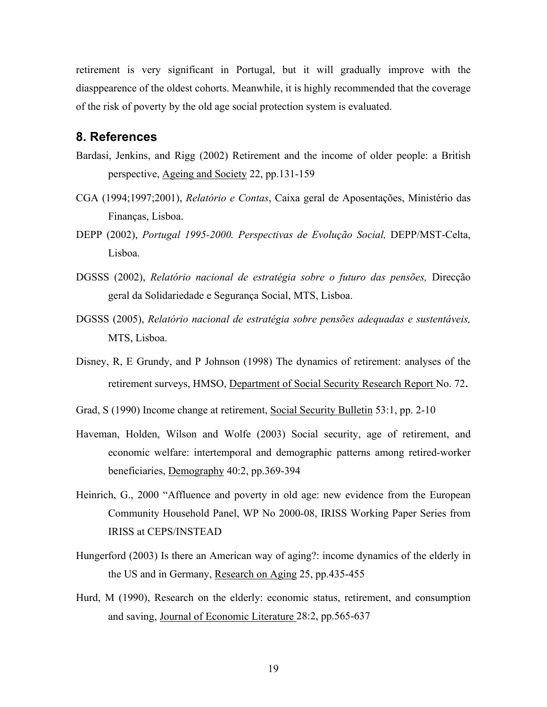retirement is very significant in Portugal, but it will gradually improve with the diasppearence of the oldest cohorts. Meanwhile, it is highly recommended that the coverage of the risk of poverty by the old age social protection system is evaluated.

## **8. References**

- Bardasi, Jenkins, and Rigg (2002) Retirement and the income of older people: a British perspective, Ageing and Society 22, pp.131-159
- CGA (1994;1997;2001), *Relatório e Contas*, Caixa geral de Aposentações, Ministério das Finanças, Lisboa.
- DEPP (2002), *Portugal 1995-2000. Perspectivas de Evolução Social,* DEPP/MST-Celta, Lisboa.
- DGSSS (2002), *Relatório nacional de estratégia sobre o futuro das pensões,* Direcção geral da Solidariedade e Segurança Social, MTS, Lisboa.
- DGSSS (2005), *Relatório nacional de estratégia sobre pensões adequadas e sustentáveis,*  MTS, Lisboa.
- Disney, R, E Grundy, and P Johnson (1998) The dynamics of retirement: analyses of the retirement surveys, HMSO, Department of Social Security Research Report No. 72.
- Grad, S (1990) Income change at retirement, Social Security Bulletin 53:1, pp. 2-10
- Haveman, Holden, Wilson and Wolfe (2003) Social security, age of retirement, and economic welfare: intertemporal and demographic patterns among retired-worker beneficiaries, Demography 40:2, pp.369-394
- Heinrich, G., 2000 "Affluence and poverty in old age: new evidence from the European Community Household Panel, WP No 2000-08, IRISS Working Paper Series from IRISS at CEPS/INSTEAD
- Hungerford (2003) Is there an American way of aging?: income dynamics of the elderly in the US and in Germany, Research on Aging 25, pp.435-455
- Hurd, M (1990), Research on the elderly: economic status, retirement, and consumption and saving, Journal of Economic Literature 28:2, pp.565-637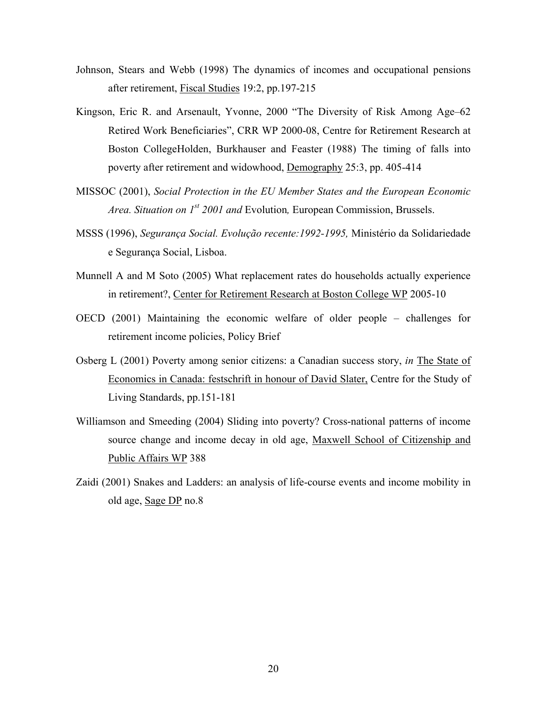- Johnson, Stears and Webb (1998) The dynamics of incomes and occupational pensions after retirement, Fiscal Studies 19:2, pp.197-215
- Kingson, Eric R. and Arsenault, Yvonne, 2000 "The Diversity of Risk Among Age–62 Retired Work Beneficiaries", CRR WP 2000-08, Centre for Retirement Research at Boston CollegeHolden, Burkhauser and Feaster (1988) The timing of falls into poverty after retirement and widowhood, Demography 25:3, pp. 405-414
- MISSOC (2001), *Social Protection in the EU Member States and the European Economic Area. Situation on 1st 2001 and* Evolution*,* European Commission, Brussels.
- MSSS (1996), *Segurança Social. Evolução recente:1992-1995,* Ministério da Solidariedade e Segurança Social, Lisboa.
- Munnell A and M Soto (2005) What replacement rates do households actually experience in retirement?, Center for Retirement Research at Boston College WP 2005-10
- OECD (2001) Maintaining the economic welfare of older people challenges for retirement income policies, Policy Brief
- Osberg L (2001) Poverty among senior citizens: a Canadian success story, *in* The State of Economics in Canada: festschrift in honour of David Slater, Centre for the Study of Living Standards, pp.151-181
- Williamson and Smeeding (2004) Sliding into poverty? Cross-national patterns of income source change and income decay in old age, Maxwell School of Citizenship and Public Affairs WP 388
- Zaidi (2001) Snakes and Ladders: an analysis of life-course events and income mobility in old age, Sage DP no.8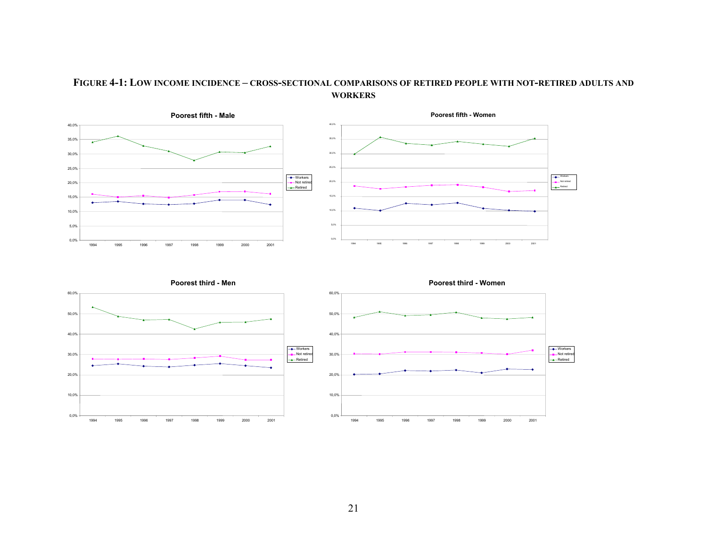#### **FIGURE 4-1: LOW INCOME INCIDENCE – CROSS-SECTIONAL COMPARISONS OF RETIRED PEOPLE WITH NOT-RETIRED ADULTS AND WORKERS**

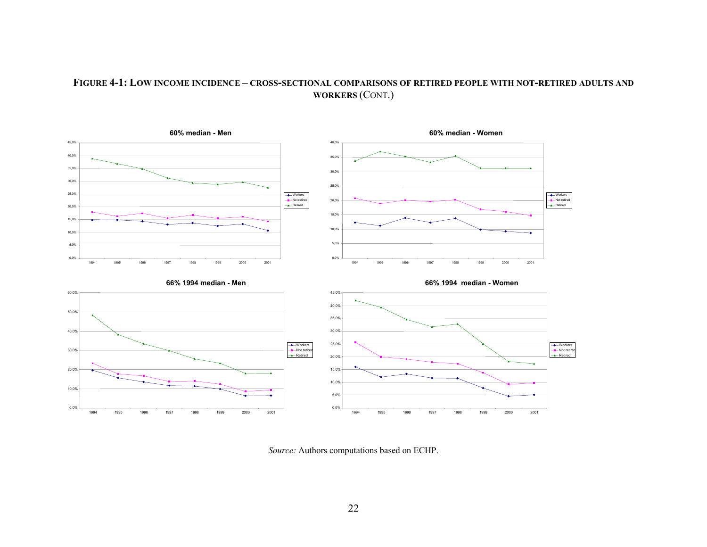#### **FIGURE 4-1: LOW INCOME INCIDENCE – CROSS-SECTIONAL COMPARISONS OF RETIRED PEOPLE WITH NOT-RETIRED ADULTS AND WORKERS** (CONT.)



*Source:* Authors computations based on ECHP.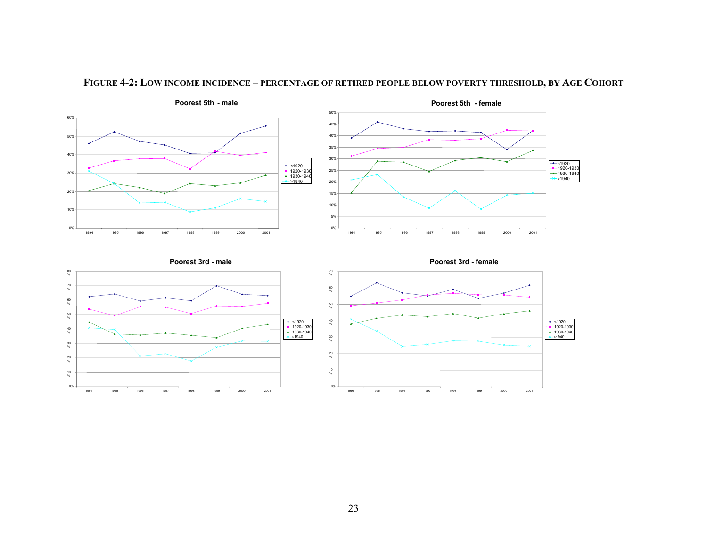

#### **FIGURE 4-2: LOW INCOME INCIDENCE – PERCENTAGE OF RETIRED PEOPLE BELOW POVERTY THRESHOLD, BY AGE COHORT**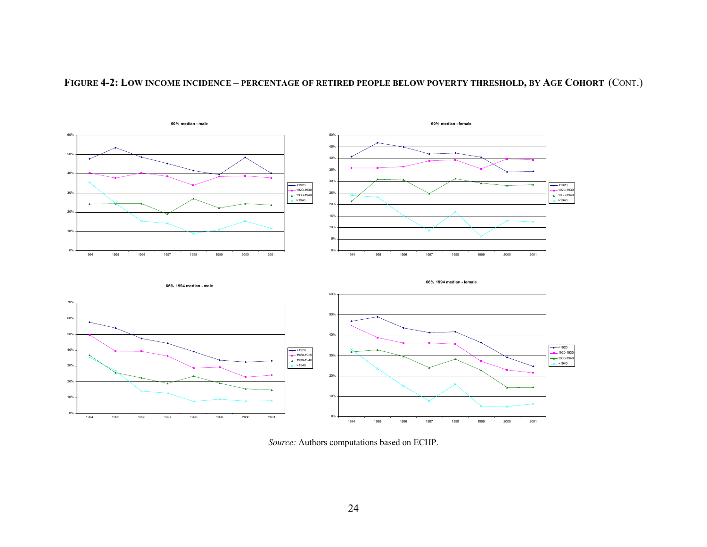

**FIGURE 4-2: LOW INCOME INCIDENCE – PERCENTAGE OF RETIRED PEOPLE BELOW POVERTY THRESHOLD, BY AGE COHORT** (CONT.)

*Source:* Authors computations based on ECHP.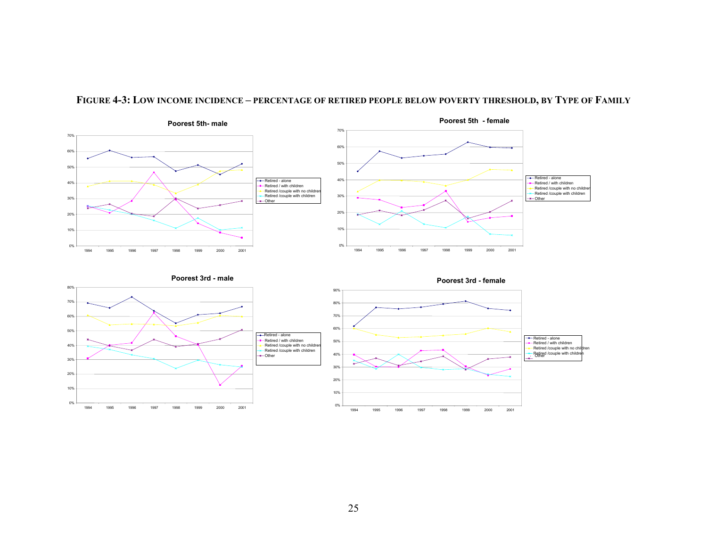

#### **FIGURE 4-3: LOW INCOME INCIDENCE – PERCENTAGE OF RETIRED PEOPLE BELOW POVERTY THRESHOLD, BY TYPE OF FAMILY**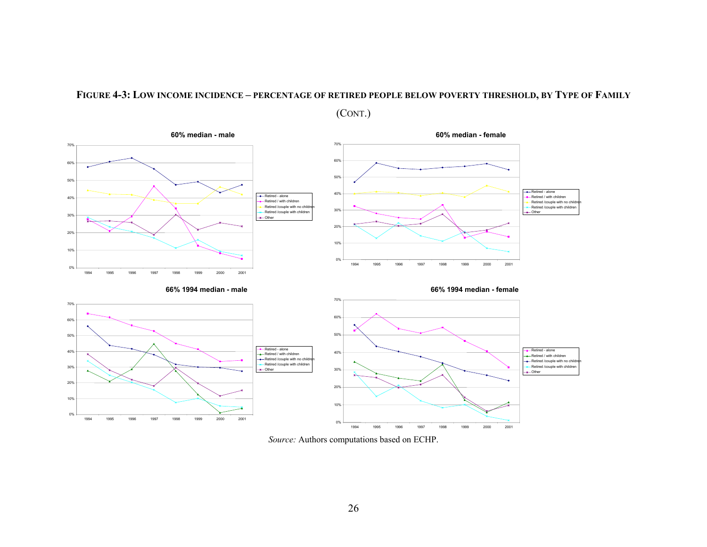#### **FIGURE 4-3: LOW INCOME INCIDENCE – PERCENTAGE OF RETIRED PEOPLE BELOW POVERTY THRESHOLD, BY TYPE OF FAMILY**

(CONT.)



*Source:* Authors computations based on ECHP.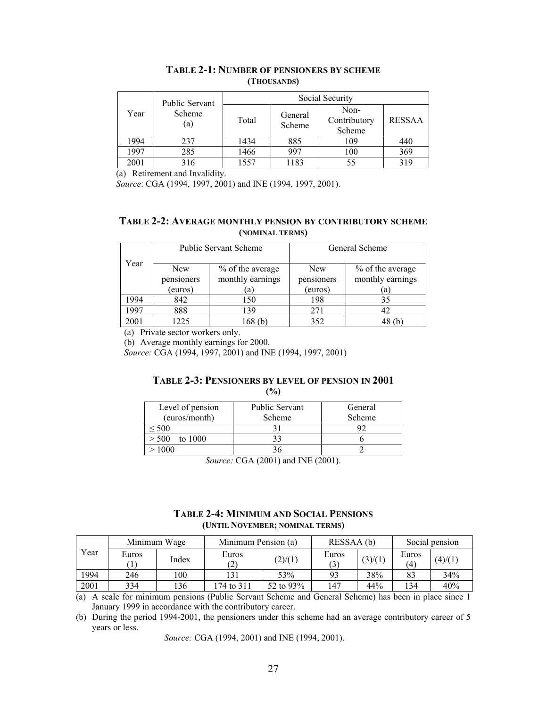|      | <b>Public Servant</b> | Social Security |                   |                                |               |  |  |  |
|------|-----------------------|-----------------|-------------------|--------------------------------|---------------|--|--|--|
| Year | Scheme<br>(a)         | Total           | General<br>Scheme | Non-<br>Contributory<br>Scheme | <b>RESSAA</b> |  |  |  |
| 1994 | 237                   | 1434            | 885               | 109                            | 440           |  |  |  |
| 1997 | 285                   | 1466            | 997               | 100                            | 369           |  |  |  |
| 2001 | 316                   | 1557            | 1183              | 55                             | 319           |  |  |  |

### **TABLE 2-1: NUMBER OF PENSIONERS BY SCHEME (THOUSANDS)**

(a) Retirement and Invalidity.

*Source*: CGA (1994, 1997, 2001) and INE (1994, 1997, 2001).

#### **TABLE 2-2: AVERAGE MONTHLY PENSION BY CONTRIBUTORY SCHEME (NOMINAL TERMS)**

|      |                          | <b>Public Servant Scheme</b>         | General Scheme           |                                      |  |
|------|--------------------------|--------------------------------------|--------------------------|--------------------------------------|--|
| Year | <b>New</b><br>pensioners | % of the average<br>monthly earnings | <b>New</b><br>pensioners | % of the average<br>monthly earnings |  |
|      | (euros)                  | a                                    | (euros)                  | a                                    |  |
| 1994 | 842                      | 150                                  | 198                      | 35                                   |  |
| 1997 | 888                      | 139                                  | 271                      | 42                                   |  |
| 2001 | 1225                     | 168 (b                               | 352                      |                                      |  |

(a) Private sector workers only.

(b) Average monthly earnings for 2000.

*Source:* CGA (1994, 1997, 2001) and INE (1994, 1997, 2001)

# **TABLE 2-3: PENSIONERS BY LEVEL OF PENSION IN 2001**

|--|

| Level of pension | <b>Public Servant</b> | General |
|------------------|-----------------------|---------|
| (euros/month)    | Scheme                | Scheme  |
| 500              |                       |         |
| > 500<br>to 1000 |                       |         |
| ഥാ               |                       |         |

*Source:* CGA (2001) and INE (2001).

#### **TABLE 2-4: MINIMUM AND SOCIAL PENSIONS (UNTIL NOVEMBER; NOMINAL TERMS)**

|      | Minimum Wage |       | Minimum Pension (a)        |           | RESSAA (b) |         | Social pension             |         |
|------|--------------|-------|----------------------------|-----------|------------|---------|----------------------------|---------|
| Year | Euros        | Index | Euros<br>$\left( 2\right)$ | (2)/(1)   | Euros      | (3)/(1) | Euros<br>$\left( 4\right)$ | (4)/(1) |
| 1994 | 246          | 00    |                            | 53%       | 93         | 38%     |                            | 34%     |
| 2001 | 334          | 36ء   | 74 to 311                  | 52 to 93% | 147        | 44%     | $\overline{34}$            | 40%     |

(a) A scale for minimum pensions (Public Servant Scheme and General Scheme) has been in place since 1 January 1999 in accordance with the contributory career.

(b) During the period 1994-2001, the pensioners under this scheme had an average contributory career of 5 years or less.

*Source:* CGA (1994, 2001) and INE (1994, 2001).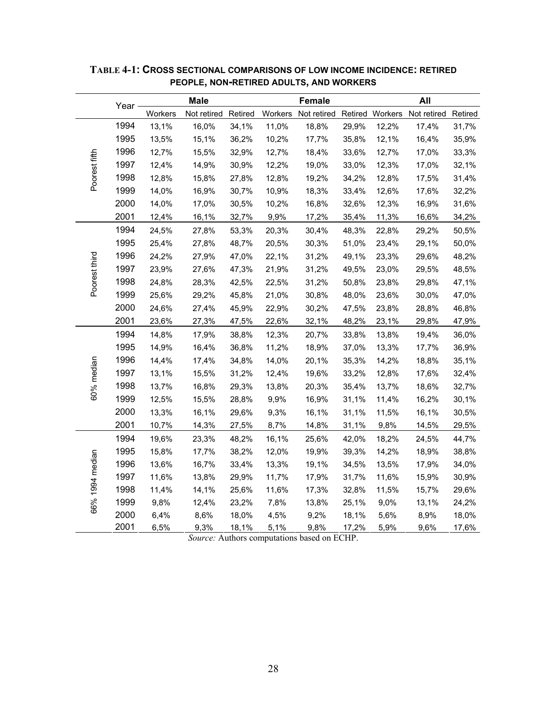|                 | Year - |         | <b>Male</b>         |       |       | Female |       |       | All                                                     |       |
|-----------------|--------|---------|---------------------|-------|-------|--------|-------|-------|---------------------------------------------------------|-------|
|                 |        | Workers | Not retired Retired |       |       |        |       |       | Workers Not retired Retired Workers Not retired Retired |       |
|                 | 1994   | 13,1%   | 16,0%               | 34,1% | 11,0% | 18,8%  | 29,9% | 12,2% | 17,4%                                                   | 31,7% |
|                 | 1995   | 13,5%   | 15,1%               | 36,2% | 10,2% | 17,7%  | 35,8% | 12,1% | 16,4%                                                   | 35,9% |
|                 | 1996   | 12,7%   | 15,5%               | 32,9% | 12,7% | 18,4%  | 33,6% | 12,7% | 17,0%                                                   | 33,3% |
| Poorest fifth   | 1997   | 12,4%   | 14,9%               | 30,9% | 12,2% | 19,0%  | 33,0% | 12,3% | 17,0%                                                   | 32,1% |
|                 | 1998   | 12,8%   | 15,8%               | 27,8% | 12,8% | 19,2%  | 34,2% | 12,8% | 17,5%                                                   | 31,4% |
|                 | 1999   | 14,0%   | 16,9%               | 30,7% | 10,9% | 18,3%  | 33,4% | 12,6% | 17,6%                                                   | 32,2% |
|                 | 2000   | 14,0%   | 17,0%               | 30,5% | 10,2% | 16,8%  | 32,6% | 12,3% | 16,9%                                                   | 31,6% |
|                 | 2001   | 12,4%   | 16,1%               | 32,7% | 9,9%  | 17,2%  | 35,4% | 11,3% | 16,6%                                                   | 34,2% |
|                 | 1994   | 24,5%   | 27,8%               | 53,3% | 20,3% | 30,4%  | 48,3% | 22,8% | 29,2%                                                   | 50,5% |
|                 | 1995   | 25,4%   | 27,8%               | 48,7% | 20,5% | 30,3%  | 51,0% | 23,4% | 29,1%                                                   | 50,0% |
|                 | 1996   | 24,2%   | 27,9%               | 47,0% | 22,1% | 31,2%  | 49,1% | 23,3% | 29,6%                                                   | 48,2% |
| Poorest third   | 1997   | 23,9%   | 27,6%               | 47,3% | 21,9% | 31,2%  | 49,5% | 23,0% | 29,5%                                                   | 48,5% |
|                 | 1998   | 24,8%   | 28,3%               | 42,5% | 22,5% | 31,2%  | 50,8% | 23,8% | 29,8%                                                   | 47,1% |
|                 | 1999   | 25,6%   | 29,2%               | 45,8% | 21,0% | 30,8%  | 48,0% | 23,6% | 30,0%                                                   | 47,0% |
|                 | 2000   | 24,6%   | 27,4%               | 45,9% | 22,9% | 30,2%  | 47,5% | 23,8% | 28,8%                                                   | 46,8% |
|                 | 2001   | 23,6%   | 27,3%               | 47,5% | 22,6% | 32,1%  | 48,2% | 23,1% | 29,8%                                                   | 47,9% |
|                 | 1994   | 14,8%   | 17,9%               | 38,8% | 12,3% | 20,7%  | 33,8% | 13,8% | 19,4%                                                   | 36,0% |
|                 | 1995   | 14,9%   | 16,4%               | 36,8% | 11,2% | 18,9%  | 37,0% | 13,3% | 17,7%                                                   | 36,9% |
|                 | 1996   | 14,4%   | 17,4%               | 34,8% | 14,0% | 20,1%  | 35,3% | 14,2% | 18,8%                                                   | 35,1% |
| 60% median      | 1997   | 13,1%   | 15,5%               | 31,2% | 12,4% | 19,6%  | 33,2% | 12,8% | 17,6%                                                   | 32,4% |
|                 | 1998   | 13,7%   | 16,8%               | 29,3% | 13,8% | 20,3%  | 35,4% | 13,7% | 18,6%                                                   | 32,7% |
|                 | 1999   | 12,5%   | 15,5%               | 28,8% | 9,9%  | 16,9%  | 31,1% | 11,4% | 16,2%                                                   | 30,1% |
|                 | 2000   | 13,3%   | 16,1%               | 29,6% | 9,3%  | 16,1%  | 31,1% | 11,5% | 16,1%                                                   | 30,5% |
|                 | 2001   | 10,7%   | 14,3%               | 27,5% | 8,7%  | 14,8%  | 31,1% | 9,8%  | 14,5%                                                   | 29,5% |
|                 | 1994   | 19,6%   | 23,3%               | 48,2% | 16,1% | 25,6%  | 42,0% | 18,2% | 24,5%                                                   | 44,7% |
|                 | 1995   | 15,8%   | 17,7%               | 38,2% | 12,0% | 19,9%  | 39,3% | 14,2% | 18,9%                                                   | 38,8% |
|                 | 1996   | 13,6%   | 16,7%               | 33,4% | 13,3% | 19,1%  | 34,5% | 13,5% | 17,9%                                                   | 34,0% |
|                 | 1997   | 11,6%   | 13,8%               | 29,9% | 11,7% | 17,9%  | 31,7% | 11,6% | 15,9%                                                   | 30,9% |
|                 | 1998   | 11,4%   | 14,1%               | 25,6% | 11,6% | 17,3%  | 32,8% | 11,5% | 15,7%                                                   | 29,6% |
| 66% 1994 median | 1999   | 9,8%    | 12,4%               | 23,2% | 7,8%  | 13,8%  | 25,1% | 9,0%  | 13,1%                                                   | 24,2% |
|                 | 2000   | 6,4%    | 8,6%                | 18,0% | 4,5%  | 9,2%   | 18,1% | 5,6%  | 8,9%                                                    | 18,0% |
|                 | 2001   | 6,5%    | 9,3%                | 18,1% | 5,1%  | 9,8%   | 17,2% | 5,9%  | 9,6%                                                    | 17,6% |

**TABLE 4-1: CROSS SECTIONAL COMPARISONS OF LOW INCOME INCIDENCE: RETIRED PEOPLE, NON-RETIRED ADULTS, AND WORKERS**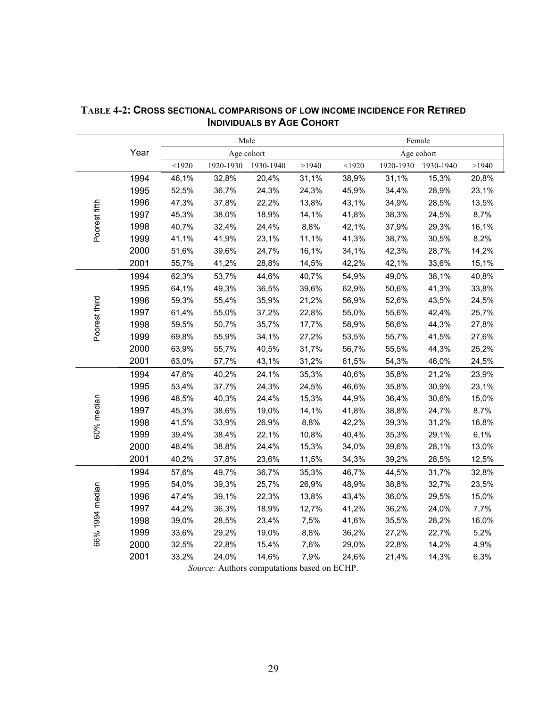|                 |      |          |           | Male       |       | Female |           |            |       |  |
|-----------------|------|----------|-----------|------------|-------|--------|-----------|------------|-------|--|
|                 | Year |          |           | Age cohort |       |        |           | Age cohort |       |  |
|                 |      | $<$ 1920 | 1920-1930 | 1930-1940  | >1940 | < 1920 | 1920-1930 | 1930-1940  | >1940 |  |
|                 | 1994 | 46,1%    | 32,8%     | 20,4%      | 31,1% | 38,9%  | 31,1%     | 15,3%      | 20,8% |  |
|                 | 1995 | 52,5%    | 36,7%     | 24,3%      | 24,3% | 45,9%  | 34,4%     | 28,9%      | 23,1% |  |
|                 | 1996 | 47,3%    | 37,8%     | 22,2%      | 13,8% | 43,1%  | 34,9%     | 28,5%      | 13,5% |  |
| Poorest fifth   | 1997 | 45,3%    | 38,0%     | 18,9%      | 14,1% | 41,8%  | 38,3%     | 24,5%      | 8,7%  |  |
|                 | 1998 | 40,7%    | 32,4%     | 24,4%      | 8,8%  | 42,1%  | 37,9%     | 29,3%      | 16,1% |  |
|                 | 1999 | 41,1%    | 41,9%     | 23,1%      | 11,1% | 41,3%  | 38,7%     | 30,5%      | 8,2%  |  |
|                 | 2000 | 51,6%    | 39,6%     | 24,7%      | 16,1% | 34,1%  | 42,3%     | 28,7%      | 14,2% |  |
|                 | 2001 | 55,7%    | 41,2%     | 28,8%      | 14,5% | 42,2%  | 42,1%     | 33,6%      | 15,1% |  |
|                 | 1994 | 62,3%    | 53,7%     | 44,6%      | 40,7% | 54,9%  | 49,0%     | 38,1%      | 40,8% |  |
|                 | 1995 | 64,1%    | 49,3%     | 36,5%      | 39,6% | 62,9%  | 50,6%     | 41,3%      | 33,8% |  |
|                 | 1996 | 59,3%    | 55,4%     | 35,9%      | 21,2% | 56,9%  | 52,6%     | 43,5%      | 24,5% |  |
| Poorest third   | 1997 | 61,4%    | 55,0%     | 37,2%      | 22,8% | 55,0%  | 55,6%     | 42,4%      | 25,7% |  |
|                 | 1998 | 59,5%    | 50,7%     | 35,7%      | 17,7% | 58,9%  | 56,6%     | 44,3%      | 27,8% |  |
|                 | 1999 | 69,8%    | 55,9%     | 34,1%      | 27,2% | 53,5%  | 55,7%     | 41,5%      | 27,6% |  |
|                 | 2000 | 63,9%    | 55,7%     | 40,5%      | 31,7% | 56,7%  | 55,5%     | 44,3%      | 25,2% |  |
|                 | 2001 | 63,0%    | 57,7%     | 43,1%      | 31,2% | 61,5%  | 54,3%     | 46,0%      | 24,5% |  |
|                 | 1994 | 47,6%    | 40,2%     | 24,1%      | 35,3% | 40,6%  | 35,8%     | 21,2%      | 23,9% |  |
|                 | 1995 | 53,4%    | 37,7%     | 24,3%      | 24,5% | 46,6%  | 35,8%     | 30,9%      | 23,1% |  |
|                 | 1996 | 48,5%    | 40,3%     | 24,4%      | 15,3% | 44,9%  | 36,4%     | 30,6%      | 15,0% |  |
| 60% median      | 1997 | 45,3%    | 38,6%     | 19,0%      | 14,1% | 41,8%  | 38,8%     | 24,7%      | 8,7%  |  |
|                 | 1998 | 41,5%    | 33,9%     | 26,9%      | 8,8%  | 42,2%  | 39,3%     | 31,2%      | 16,8% |  |
|                 | 1999 | 39,4%    | 38,4%     | 22,1%      | 10,8% | 40,4%  | 35,3%     | 29,1%      | 6,1%  |  |
|                 | 2000 | 48,4%    | 38,8%     | 24,4%      | 15,3% | 34,0%  | 39,6%     | 28,1%      | 13,0% |  |
|                 | 2001 | 40,2%    | 37,8%     | 23,6%      | 11,5% | 34,3%  | 39,2%     | 28,5%      | 12,5% |  |
|                 | 1994 | 57,6%    | 49,7%     | 36,7%      | 35,3% | 46,7%  | 44,5%     | 31,7%      | 32,8% |  |
|                 | 1995 | 54,0%    | 39,3%     | 25,7%      | 26,9% | 48,9%  | 38,8%     | 32,7%      | 23,5% |  |
|                 | 1996 | 47,4%    | 39,1%     | 22,3%      | 13,8% | 43,4%  | 36,0%     | 29,5%      | 15,0% |  |
| 66% 1994 median | 1997 | 44,2%    | 36,3%     | 18,9%      | 12,7% | 41,2%  | 36,2%     | 24,0%      | 7,7%  |  |
|                 | 1998 | 39,0%    | 28,5%     | 23,4%      | 7,5%  | 41,6%  | 35,5%     | 28,2%      | 16,0% |  |
|                 | 1999 | 33,6%    | 29,2%     | 19,0%      | 8,8%  | 36,2%  | 27,2%     | 22,7%      | 5,2%  |  |
|                 | 2000 | 32,5%    | 22,8%     | 15,4%      | 7,6%  | 29,0%  | 22,8%     | 14,2%      | 4,9%  |  |
|                 | 2001 | 33,2%    | 24,0%     | 14,6%      | 7,9%  | 24,6%  | 21,4%     | 14,3%      | 6,3%  |  |

# **TABLE 4-2: CROSS SECTIONAL COMPARISONS OF LOW INCOME INCIDENCE FOR RETIRED INDIVIDUALS BY AGE COHORT**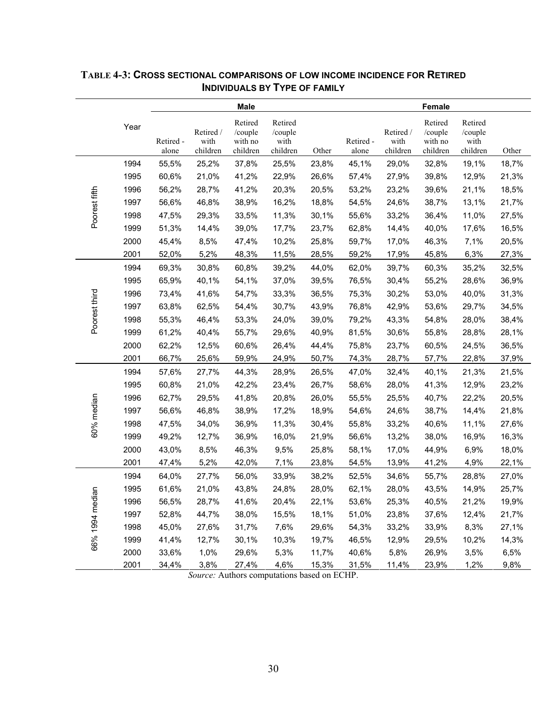|               |      |                    |                               | <b>Male</b>                               |                                        |       |                    |                               | <b>Female</b>                             |                                        |       |
|---------------|------|--------------------|-------------------------------|-------------------------------------------|----------------------------------------|-------|--------------------|-------------------------------|-------------------------------------------|----------------------------------------|-------|
|               | Year | Retired -<br>alone | Retired /<br>with<br>children | Retired<br>/couple<br>with no<br>children | Retired<br>/couple<br>with<br>children | Other | Retired -<br>alone | Retired /<br>with<br>children | Retired<br>/couple<br>with no<br>children | Retired<br>/couple<br>with<br>children | Other |
|               | 1994 | 55,5%              | 25,2%                         | 37,8%                                     | 25,5%                                  | 23,8% | 45,1%              | 29,0%                         | 32,8%                                     | 19,1%                                  | 18,7% |
|               | 1995 | 60,6%              | 21,0%                         | 41,2%                                     | 22,9%                                  | 26,6% | 57,4%              | 27,9%                         | 39,8%                                     | 12,9%                                  | 21,3% |
|               | 1996 | 56,2%              | 28,7%                         | 41,2%                                     | 20,3%                                  | 20,5% | 53,2%              | 23,2%                         | 39,6%                                     | 21,1%                                  | 18,5% |
|               | 1997 | 56,6%              | 46,8%                         | 38,9%                                     | 16,2%                                  | 18,8% | 54,5%              | 24,6%                         | 38,7%                                     | 13,1%                                  | 21,7% |
| Poorest fifth | 1998 | 47,5%              | 29,3%                         | 33,5%                                     | 11,3%                                  | 30,1% | 55,6%              | 33,2%                         | 36,4%                                     | 11,0%                                  | 27,5% |
|               | 1999 | 51,3%              | 14,4%                         | 39,0%                                     | 17,7%                                  | 23,7% | 62,8%              | 14,4%                         | 40,0%                                     | 17,6%                                  | 16,5% |
|               | 2000 | 45,4%              | 8,5%                          | 47,4%                                     | 10,2%                                  | 25,8% | 59,7%              | 17,0%                         | 46,3%                                     | 7,1%                                   | 20,5% |
|               | 2001 | 52,0%              | 5,2%                          | 48,3%                                     | 11,5%                                  | 28,5% | 59,2%              | 17,9%                         | 45,8%                                     | 6,3%                                   | 27,3% |
|               | 1994 | 69,3%              | 30,8%                         | 60,8%                                     | 39,2%                                  | 44,0% | 62,0%              | 39,7%                         | 60,3%                                     | 35,2%                                  | 32,5% |
|               | 1995 | 65,9%              | 40,1%                         | 54,1%                                     | 37,0%                                  | 39,5% | 76,5%              | 30,4%                         | 55,2%                                     | 28,6%                                  | 36,9% |
|               | 1996 | 73,4%              | 41,6%                         | 54,7%                                     | 33,3%                                  | 36,5% | 75,3%              | 30,2%                         | 53,0%                                     | 40,0%                                  | 31,3% |
| Poorest third | 1997 | 63,8%              | 62,5%                         | 54,4%                                     | 30,7%                                  | 43,9% | 76,8%              | 42,9%                         | 53,6%                                     | 29,7%                                  | 34,5% |
|               | 1998 | 55,3%              | 46,4%                         | 53,3%                                     | 24,0%                                  | 39,0% | 79,2%              | 43,3%                         | 54,8%                                     | 28,0%                                  | 38,4% |
|               | 1999 | 61,2%              | 40,4%                         | 55,7%                                     | 29,6%                                  | 40,9% | 81,5%              | 30,6%                         | 55,8%                                     | 28,8%                                  | 28,1% |
|               | 2000 | 62,2%              | 12,5%                         | 60,6%                                     | 26,4%                                  | 44,4% | 75,8%              | 23,7%                         | 60,5%                                     | 24,5%                                  | 36,5% |
|               | 2001 | 66,7%              | 25,6%                         | 59,9%                                     | 24,9%                                  | 50,7% | 74,3%              | 28,7%                         | 57,7%                                     | 22,8%                                  | 37,9% |
|               | 1994 | 57,6%              | 27,7%                         | 44,3%                                     | 28,9%                                  | 26,5% | 47,0%              | 32,4%                         | 40,1%                                     | 21,3%                                  | 21,5% |
|               | 1995 | 60,8%              | 21,0%                         | 42,2%                                     | 23,4%                                  | 26,7% | 58,6%              | 28,0%                         | 41,3%                                     | 12,9%                                  | 23,2% |
|               | 1996 | 62,7%              | 29,5%                         | 41,8%                                     | 20,8%                                  | 26,0% | 55,5%              | 25,5%                         | 40,7%                                     | 22,2%                                  | 20,5% |
| 60% median    | 1997 | 56,6%              | 46,8%                         | 38,9%                                     | 17,2%                                  | 18,9% | 54,6%              | 24,6%                         | 38,7%                                     | 14,4%                                  | 21,8% |
|               | 1998 | 47,5%              | 34,0%                         | 36,9%                                     | 11,3%                                  | 30,4% | 55,8%              | 33,2%                         | 40,6%                                     | 11,1%                                  | 27,6% |
|               | 1999 | 49,2%              | 12,7%                         | 36,9%                                     | 16,0%                                  | 21,9% | 56,6%              | 13,2%                         | 38,0%                                     | 16,9%                                  | 16,3% |
|               | 2000 | 43,0%              | 8,5%                          | 46,3%                                     | 9,5%                                   | 25,8% | 58,1%              | 17,0%                         | 44,9%                                     | 6,9%                                   | 18,0% |
|               | 2001 | 47,4%              | 5,2%                          | 42,0%                                     | 7,1%                                   | 23,8% | 54,5%              | 13,9%                         | 41,2%                                     | 4,9%                                   | 22,1% |
|               | 1994 | 64,0%              | 27,7%                         | 56,0%                                     | 33,9%                                  | 38,2% | 52,5%              | 34,6%                         | 55,7%                                     | 28,8%                                  | 27,0% |
| dian          | 1995 | 61,6%              | 21,0%                         | 43,8%                                     | 24,8%                                  | 28,0% | 62,1%              | 28,0%                         | 43,5%                                     | 14,9%                                  | 25,7% |
|               | 1996 | 56,5%              | 28,7%                         | 41,6%                                     | 20,4%                                  | 22,1% | 53,6%              | 25,3%                         | 40,5%                                     | 21,2%                                  | 19,9% |
|               | 1997 | 52,8%              | 44,7%                         | 38,0%                                     | 15,5%                                  | 18,1% | 51,0%              | 23,8%                         | 37,6%                                     | 12,4%                                  | 21,7% |
| 66% 1994 me   | 1998 | 45,0%              | 27,6%                         | 31,7%                                     | 7,6%                                   | 29,6% | 54,3%              | 33,2%                         | 33,9%                                     | 8,3%                                   | 27,1% |
|               | 1999 | 41,4%              | 12,7%                         | 30,1%                                     | 10,3%                                  | 19,7% | 46,5%              | 12,9%                         | 29,5%                                     | 10,2%                                  | 14,3% |
|               | 2000 | 33,6%              | 1,0%                          | 29,6%                                     | 5,3%                                   | 11,7% | 40,6%              | 5,8%                          | 26,9%                                     | 3,5%                                   | 6,5%  |
|               | 2001 | 34,4%              | 3,8%                          | 27,4%                                     | 4,6%                                   | 15,3% | 31,5%              | 11,4%                         | 23,9%                                     | 1,2%                                   | 9,8%  |

# **TABLE 4-3: CROSS SECTIONAL COMPARISONS OF LOW INCOME INCIDENCE FOR RETIRED INDIVIDUALS BY TYPE OF FAMILY**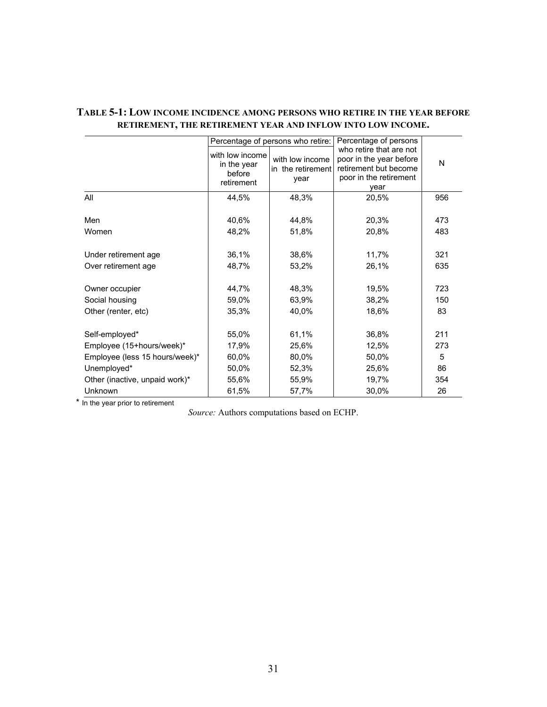|                                                         |                                                        | Percentage of persons who retire:            | Percentage of persons                                                                                         |                  |
|---------------------------------------------------------|--------------------------------------------------------|----------------------------------------------|---------------------------------------------------------------------------------------------------------------|------------------|
|                                                         | with low income<br>in the year<br>before<br>retirement | with low income<br>in the retirement<br>vear | who retire that are not<br>poor in the year before<br>retirement but become<br>poor in the retirement<br>year | N                |
| All                                                     | 44,5%                                                  | 48,3%                                        | 20,5%                                                                                                         | 956              |
| Men<br>Women                                            | 40,6%<br>48,2%                                         | 44,8%<br>51,8%                               | 20,3%<br>20,8%                                                                                                | 473<br>483       |
| Under retirement age                                    | 36,1%                                                  | 38,6%                                        | 11,7%                                                                                                         | 321              |
| Over retirement age                                     | 48,7%                                                  | 53,2%                                        | 26,1%                                                                                                         | 635              |
| Owner occupier<br>Social housing<br>Other (renter, etc) | 44,7%<br>59,0%<br>35,3%                                | 48,3%<br>63,9%<br>40,0%                      | 19,5%<br>38,2%<br>18,6%                                                                                       | 723<br>150<br>83 |
| Self-employed*                                          | 55,0%                                                  | 61,1%                                        | 36,8%                                                                                                         | 211              |
| Employee (15+hours/week)*                               | 17,9%                                                  | 25,6%                                        | 12,5%                                                                                                         | 273              |
| Employee (less 15 hours/week)*                          | 60,0%                                                  | 80,0%                                        | 50,0%                                                                                                         | 5                |
| Unemployed*                                             | 50,0%                                                  | 52,3%                                        | 25,6%                                                                                                         | 86               |
| Other (inactive, unpaid work)*                          | 55,6%                                                  | 55,9%                                        | 19,7%                                                                                                         | 354              |
| Unknown                                                 | 61,5%                                                  | 57,7%                                        | 30,0%                                                                                                         | 26               |

## **TABLE 5-1: LOW INCOME INCIDENCE AMONG PERSONS WHO RETIRE IN THE YEAR BEFORE RETIREMENT, THE RETIREMENT YEAR AND INFLOW INTO LOW INCOME.**

\* In the year prior to retirement